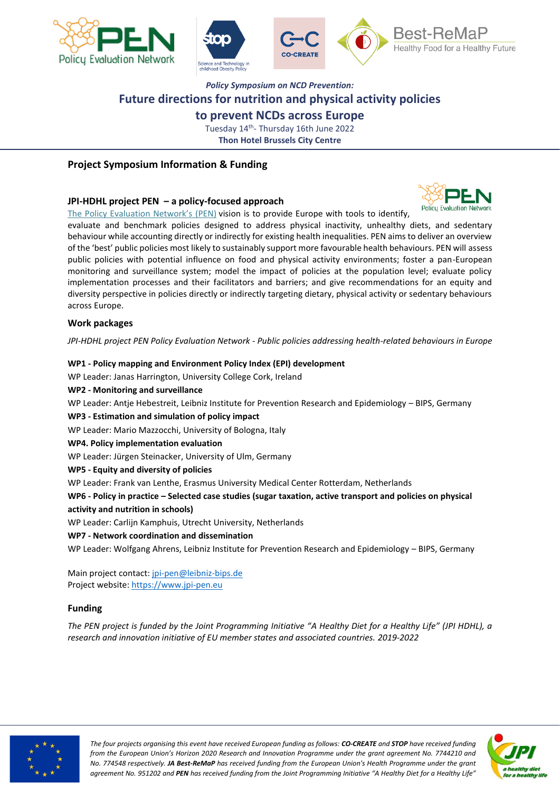



# *Policy Symposium on NCD Prevention:* **Future directions for nutrition and physical activity policies**

**to prevent NCDs across Europe**

Tuesday 14<sup>th</sup>- Thursday 16th June 2022 **Thon Hotel Brussels City Centre**

# **Project Symposium Information & Funding**

# **JPI-HDHL project PEN – a policy-focused approach**

The Policy [Evaluation](https://www.jpi-pen.eu/) Network's (PEN) vision is to provide Europe with tools to identify,

evaluate and benchmark policies designed to address physical inactivity, unhealthy diets, and sedentary behaviour while accounting directly or indirectly for existing health inequalities. PEN aims to deliver an overview of the 'best' public policies most likely to sustainably support more favourable health behaviours. PEN will assess public policies with potential influence on food and physical activity environments; foster a pan-European monitoring and surveillance system; model the impact of policies at the population level; evaluate policy implementation processes and their facilitators and barriers; and give recommendations for an equity and diversity perspective in policies directly or indirectly targeting dietary, physical activity or sedentary behaviours across Europe.

# **Work packages**

*JPI-HDHL project PEN Policy Evaluation Network - Public policies addressing health-related behaviours in Europe*

# **WP1 - Policy mapping and Environment Policy Index (EPI) development**

WP Leader: Janas Harrington, University College Cork, Ireland

#### **WP2 - Monitoring and surveillance**

WP Leader: Antje Hebestreit, Leibniz Institute for Prevention Research and Epidemiology - BIPS, Germany

# **WP3 - Estimation and simulation of policy impact**

WP Leader: Mario Mazzocchi, University of Bologna, Italy

#### **WP4. Policy implementation evaluation**

WP Leader: Jürgen Steinacker, University of Ulm, Germany

#### **WP5 - Equity and diversity of policies**

WP Leader: Frank van Lenthe, Erasmus University Medical Center Rotterdam, Netherlands

**WP6 - Policy in practice – Selected case studies (sugar taxation, active transport and policies on physical activity and nutrition in schools)**

WP Leader: Carlijn Kamphuis, Utrecht University, Netherlands

**WP7 - Network coordination and dissemination**

WP Leader: Wolfgang Ahrens, Leibniz Institute for Prevention Research and Epidemiology – BIPS, Germany

Main project contact: [jpi-pen@leibniz-bips.de](mailto:jpi-pen@leibniz-bips.de) Project website: [https://www.jpi-pen.eu](https://www.jpi-pen.eu/structure/work-packages.html)

# **Funding**

*The PEN project is funded by the Joint Programming Initiative "A Healthy Diet for a Healthy Life" (JPI HDHL), a research and innovation initiative of EU member states and associated countries. 2019-2022*



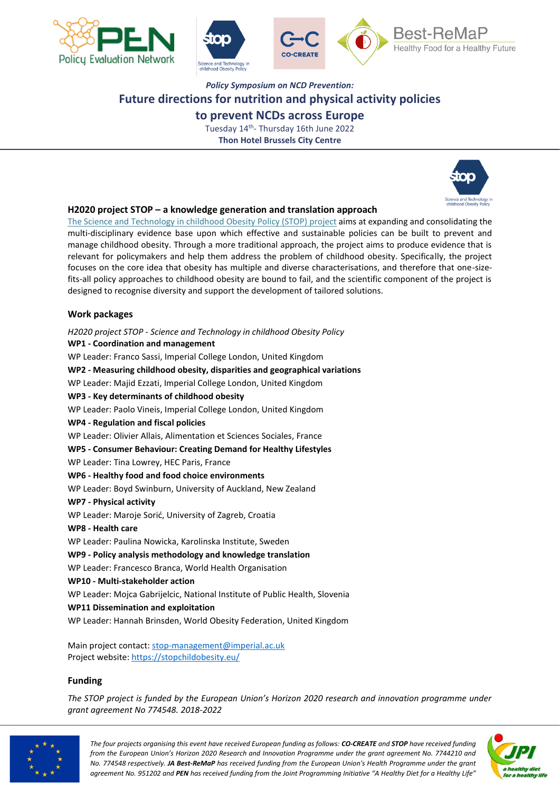



# *Policy Symposium on NCD Prevention:* **Future directions for nutrition and physical activity policies to prevent NCDs across Europe**

Tuesday 14<sup>th</sup>- Thursday 16th June 2022 **Thon Hotel Brussels City Centre**



# **H2020 project STOP – a knowledge generation and translation approach**

The Science and [Technology](http://www.stopchildobesity.eu/) in childhood Obesity Policy (STOP) project aims at expanding and consolidating the multi-disciplinary evidence base upon which effective and sustainable policies can be built to prevent and manage childhood obesity. Through a more traditional approach, the project aims to produce evidence that is relevant for policymakers and help them address the problem of childhood obesity. Specifically, the project focuses on the core idea that obesity has multiple and diverse characterisations, and therefore that one-sizefits-all policy approaches to childhood obesity are bound to fail, and the scientific component of the project is designed to recognise diversity and support the development of tailored solutions.

# **Work packages**

*H2020 project STOP - Science and Technology in childhood Obesity Policy* **WP1 - Coordination and management** WP Leader: Franco Sassi, Imperial College London, United Kingdom **WP2 - Measuring childhood obesity, disparities and geographical variations** WP Leader: Majid Ezzati, Imperial College London, United Kingdom **WP3 - Key determinants of childhood obesity** WP Leader: Paolo Vineis, Imperial College London, United Kingdom **WP4 - Regulation and fiscal policies**  WP Leader: Olivier Allais, Alimentation et Sciences Sociales, France **WP5 - Consumer Behaviour: Creating Demand for Healthy Lifestyles**  WP Leader: Tina Lowrey, HEC Paris, France **WP6 - Healthy food and food choice environments** WP Leader: Boyd Swinburn, University of Auckland, New Zealand **WP7 - Physical activity**  WP Leader: Maroje Sorić, University of Zagreb, Croatia **WP8 - Health care**  WP Leader: Paulina Nowicka, Karolinska Institute, Sweden **WP9 - Policy analysis methodology and knowledge translation** WP Leader: Francesco Branca, World Health Organisation **WP10 - Multi-stakeholder action**  WP Leader: Mojca Gabrijelcic, National Institute of Public Health, Slovenia **WP11 Dissemination and exploitation**  WP Leader: Hannah Brinsden, World Obesity Federation, United Kingdom

Main project contact: [stop-management@imperial.ac.uk](mailto:stop-management@imperial.ac.uk) Project website:<https://stopchildobesity.eu/>

# **Funding**

*The STOP project is funded by the European Union's Horizon 2020 research and innovation programme under grant agreement No 774548. 2018-2022*



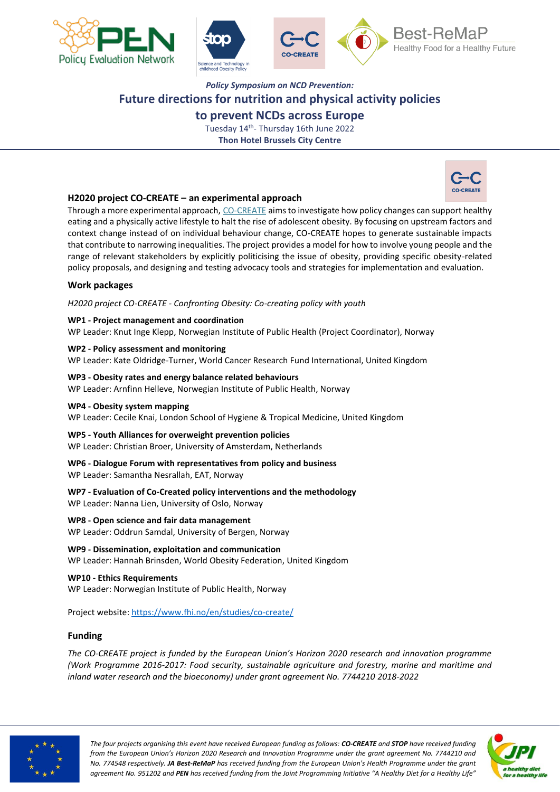





# *Policy Symposium on NCD Prevention:* **Future directions for nutrition and physical activity policies**

**to prevent NCDs across Europe**

Tuesday 14<sup>th</sup>- Thursday 16th June 2022 **Thon Hotel Brussels City Centre**



# **H2020 project CO-CREATE – an experimental approach**

Through a more experimental approach, [CO-CREATE](https://www.fhi.no/en/studies/co-create/) aims to investigate how policy changes can support healthy eating and a physically active lifestyle to halt the rise of adolescent obesity. By focusing on upstream factors and context change instead of on individual behaviour change, CO-CREATE hopes to generate sustainable impacts that contribute to narrowing inequalities. The project provides a model for how to involve young people and the range of relevant stakeholders by explicitly politicising the issue of obesity, providing specific obesity-related policy proposals, and designing and testing advocacy tools and strategies for implementation and evaluation.

# **Work packages**

*H2020 project CO-CREATE - Confronting Obesity: Co-creating policy with youth*

# **WP1 - Project management and coordination**

WP Leader: Knut Inge Klepp, Norwegian Institute of Public Health (Project Coordinator), Norway

**WP2 - Policy assessment and monitoring** WP Leader: Kate Oldridge-Turner, World Cancer Research Fund International, United Kingdom

**WP3 - Obesity rates and energy balance related behaviours** WP Leader: Arnfinn Helleve, Norwegian Institute of Public Health, Norway

# **WP4 - Obesity system mapping**

WP Leader: Cecile Knai, London School of Hygiene & Tropical Medicine, United Kingdom

# **WP5 - Youth Alliances for overweight prevention policies**

WP Leader: Christian Broer, University of Amsterdam, Netherlands

# **WP6 - Dialogue Forum with representatives from policy and business**

WP Leader: Samantha Nesrallah, EAT, Norway

**WP7 - Evaluation of Co-Created policy interventions and the methodology** WP Leader: Nanna Lien, University of Oslo, Norway

# **WP8 - Open science and fair data management**

WP Leader: Oddrun Samdal, University of Bergen, Norway

**WP9 - Dissemination, exploitation and communication** WP Leader: Hannah Brinsden, World Obesity Federation, United Kingdom

**WP10 - Ethics Requirements** WP Leader: Norwegian Institute of Public Health, Norway

Project website:<https://www.fhi.no/en/studies/co-create/>

# **Funding**

*The CO-CREATE project is funded by the European Union's Horizon 2020 research and innovation programme (Work Programme 2016-2017: Food security, sustainable agriculture and forestry, marine and maritime and inland water research and the bioeconomy) under grant agreement No. 7744210 2018-2022*